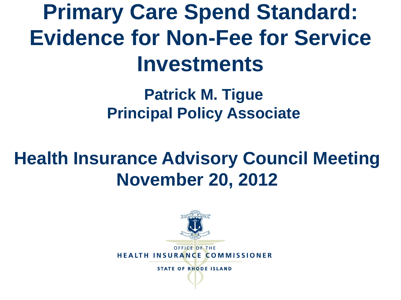**Primary Care Spend Standard: Evidence for Non-Fee for Service Investments**

> **Patrick M. Tigue Principal Policy Associate**

#### **Health Insurance Advisory Council Meeting November 20, 2012**

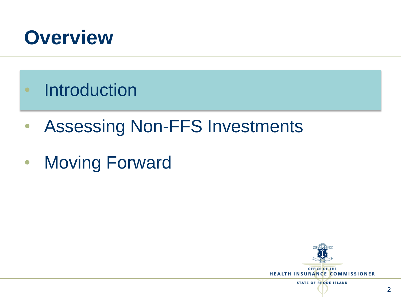

- Introduction
- Assessing Non-FFS Investments
- Moving Forward

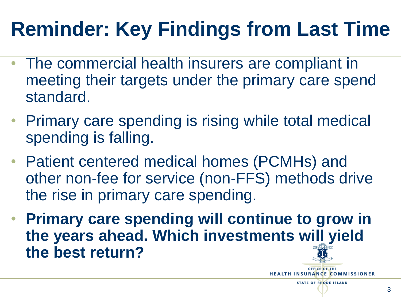# **Reminder: Key Findings from Last Time**

- The commercial health insurers are compliant in meeting their targets under the primary care spend standard.
- Primary care spending is rising while total medical spending is falling.
- Patient centered medical homes (PCMHs) and other non-fee for service (non-FFS) methods drive the rise in primary care spending.
- **Primary care spending will continue to grow in the years ahead. Which investments will yield the best return?**

3

**HEALTH INSURANCE COMMISSIONER STATE OF RHODE ISLAND**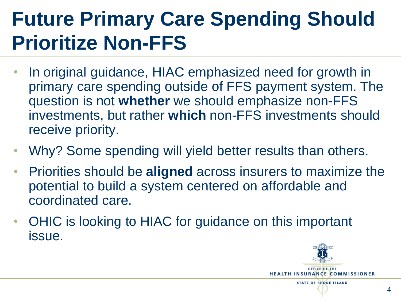# **Future Primary Care Spending Should Prioritize Non-FFS**

- In original guidance, HIAC emphasized need for growth in primary care spending outside of FFS payment system. The question is not **whether** we should emphasize non-FFS investments, but rather **which** non-FFS investments should receive priority.
- Why? Some spending will yield better results than others.
- Priorities should be **aligned** across insurers to maximize the potential to build a system centered on affordable and coordinated care.
- OHIC is looking to HIAC for guidance on this important issue.

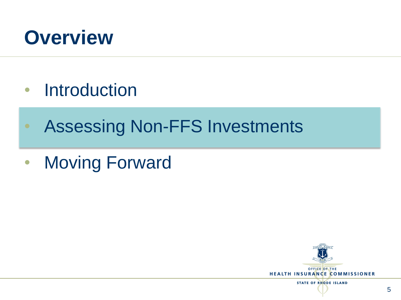

- Introduction
- Assessing Non-FFS Investments
- Moving Forward



**STATE OF RHODE ISLAND**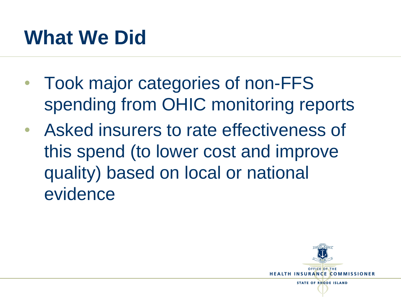#### **What We Did**

- Took major categories of non-FFS spending from OHIC monitoring reports
- Asked insurers to rate effectiveness of this spend (to lower cost and improve quality) based on local or national evidence

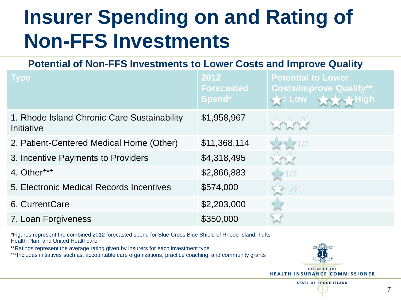#### **Insurer Spending on and Rating of Non-FFS Investments**

**Potential of Non-FFS Investments to Lower Costs and Improve Quality**

| <b>Type</b>                                               | 2012<br><b>Forecasted</b><br>Spend* | <b>Potential to Lower</b><br><b>Costs/Improve Quality**</b><br>$=$ Low |
|-----------------------------------------------------------|-------------------------------------|------------------------------------------------------------------------|
| 1. Rhode Island Chronic Care Sustainability<br>Initiative | \$1,958,967                         |                                                                        |
| 2. Patient-Centered Medical Home (Other)                  | \$11,368,114                        | $\sqrt{1/2}$                                                           |
| 3. Incentive Payments to Providers                        | \$4,318,495                         |                                                                        |
| 4. Other***                                               | \$2,866,883                         | 1/2                                                                    |
| 5. Electronic Medical Records Incentives                  | \$574,000                           | $\sqrt{1/2}$                                                           |
| 6. CurrentCare                                            | \$2,203,000                         |                                                                        |
| 7. Loan Forgiveness                                       | \$350,000                           |                                                                        |

\*Figures represent the combined 2012 forecasted spend for Blue Cross Blue Shield of Rhode Island, Tufts Health Plan, and United Healthcare

\*\*Ratings represent the average rating given by insurers for each investment type

\*\*\*Includes initiatives such as: accountable care organizations, practice coaching, and community grants



**HEALTH INSURANCE COMMISSIONER** 

**STATE OF RHODE ISLAND**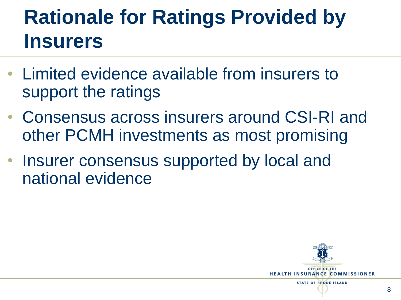### **Rationale for Ratings Provided by Insurers**

- Limited evidence available from insurers to support the ratings
- Consensus across insurers around CSI-RI and other PCMH investments as most promising
- Insurer consensus supported by local and national evidence

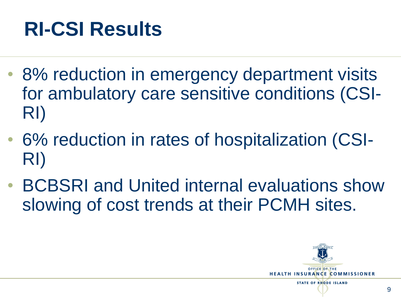#### **RI-CSI Results**

- 8% reduction in emergency department visits for ambulatory care sensitive conditions (CSI-RI)
- 6% reduction in rates of hospitalization (CSI-RI)
- BCBSRI and United internal evaluations show slowing of cost trends at their PCMH sites.

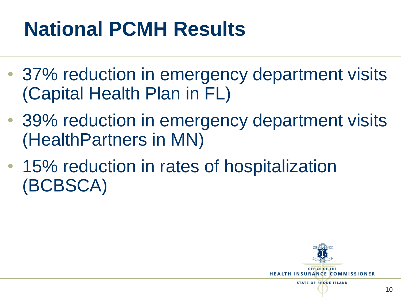# **National PCMH Results**

- 37% reduction in emergency department visits (Capital Health Plan in FL)
- 39% reduction in emergency department visits (HealthPartners in MN)
- 15% reduction in rates of hospitalization (BCBSCA)

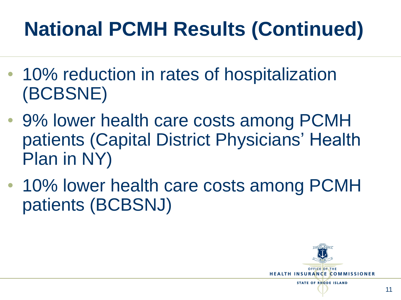# **National PCMH Results (Continued)**

- 10% reduction in rates of hospitalization (BCBSNE)
- 9% lower health care costs among PCMH patients (Capital District Physicians' Health Plan in NY)
- 10% lower health care costs among PCMH patients (BCBSNJ)

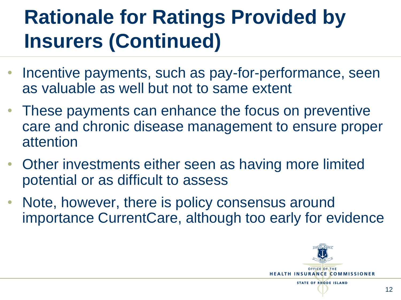# **Rationale for Ratings Provided by Insurers (Continued)**

- Incentive payments, such as pay-for-performance, seen as valuable as well but not to same extent
- These payments can enhance the focus on preventive care and chronic disease management to ensure proper attention
- Other investments either seen as having more limited potential or as difficult to assess
- Note, however, there is policy consensus around importance CurrentCare, although too early for evidence

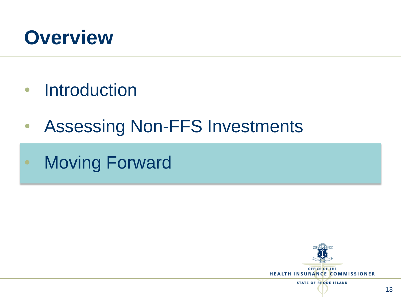

- Introduction
- Assessing Non-FFS Investments
- **Moving Forward**

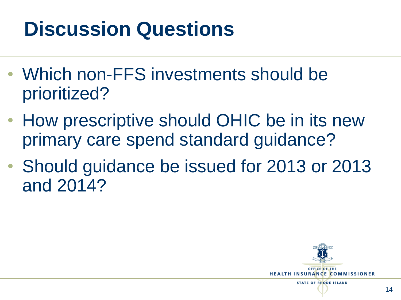### **Discussion Questions**

- Which non-FFS investments should be prioritized?
- How prescriptive should OHIC be in its new primary care spend standard guidance?
- Should guidance be issued for 2013 or 2013 and 2014?